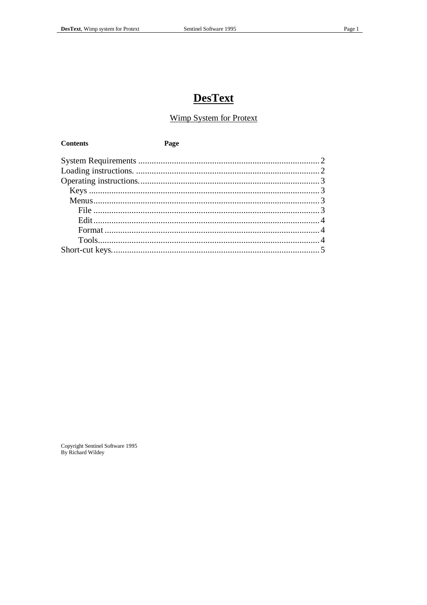**Contents** 

# **DesText**

### **Wimp System for Protext**

Page

Copyright Sentinel Software 1995<br>By Richard Wildey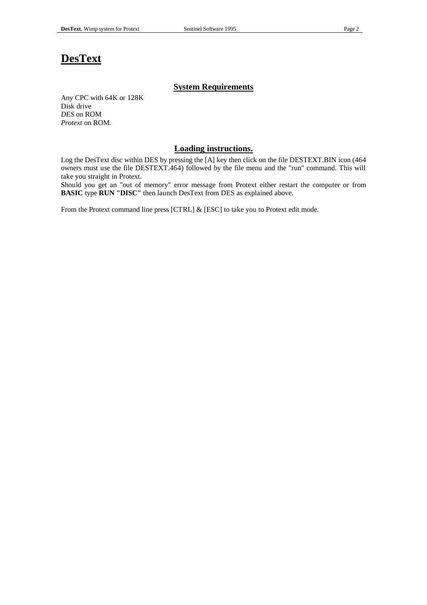## **DesText**

#### **System Requirements**

Any CPC with 64K or 128K Disk drive *DES* on ROM *Protext* on ROM.

#### **Loading instructions.**

Log the DesText disc within DES by pressing the [A] key then click on the file DESTEXT.BIN icon (464 owners must use the file DESTEXT.464) followed by the file menu and the "run" command. This will take you straight in Protext.

Should you get an "out of memory" error message from Protext either restart the computer or from **BASIC** type **RUN "DISC"** then launch DesText from DES as explained above.

From the Protext command line press [CTRL] & [ESC] to take you to Protext edit mode.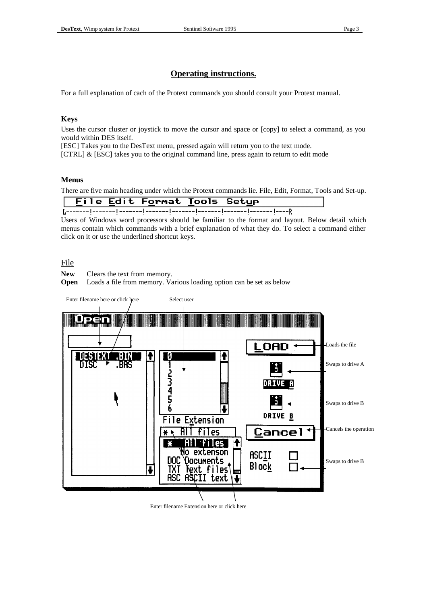## **Operating instructions.**

For a full explanation of cach of the Protext commands you should consult your Protext manual.

#### **Keys**

Uses the cursor cluster or joystick to move the cursor and space or [copy] to select a command, as you would within DES itself.

[ESC] Takes you to the DesText menu, pressed again will return you to the text mode.

[CTRL] & [ESC] takes you to the original command line, press again to return to edit mode

#### **Menus**

There are five main heading under which the Protext commands lie. File, Edit, Format, Tools and Set-up.

| File Edit Format Tools Setup |  |  |
|------------------------------|--|--|
|                              |  |  |

Users of Windows word processors should be familiar to the format and layout. Below detail which menus contain which commands with a brief explanation of what they do. To select a command either click on it or use the underlined shortcut keys.

#### File

**New** Clears the text from memory.

**Open** Loads a file from memory. Various loading option can be set as below



Enter filename Extension here or click here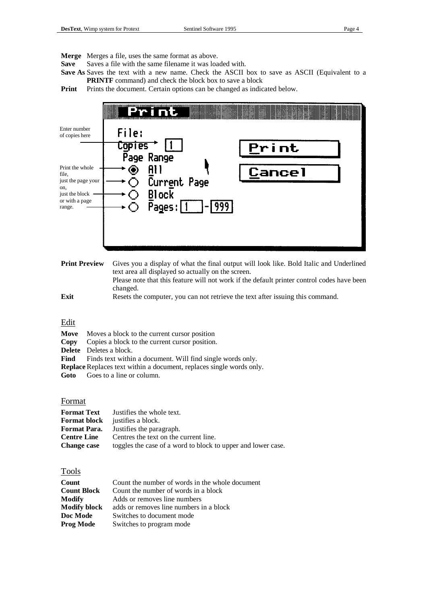**Merge** Merges a file, uses the same format as above.

**Save** Saves a file with the same filename it was loaded with.

**Save As** Saves the text with a new name. Check the ASCII box to save as ASCII (Equivalent to a **PRINTF** command) and check the block box to save a block

**Print** Prints the document. Certain options can be changed as indicated below.

|                                                                                                     | and a strong of the state of the state of the state of the state of the state of the state of the state of the |        |
|-----------------------------------------------------------------------------------------------------|----------------------------------------------------------------------------------------------------------------|--------|
| Enter number<br>of copies here                                                                      | File:<br><b>Copies</b><br>Page Range                                                                           | Print  |
| Print the whole<br>file,<br>just the page your<br>on,<br>just the block<br>or with a page<br>range. | All<br>Current Page<br><b>Block</b><br>999.<br>Pages:                                                          | Cancel |

**Print Preview** Gives you a display of what the final output will look like. Bold Italic and Underlined text area all displayed so actually on the screen. Please note that this feature will not work if the default printer control codes have been changed.

**Exit** Resets the computer, you can not retrieve the text after issuing this command.

#### Edit

- **Move** Moves a block to the current cursor position **Copy** Copies a block to the current cursor position. **Delete** Deletes a block. Find Finds text within a document. Will find single words only.
- **Replace** Replaces text within a document, replaces single words only.

**Goto** Goes to a line or column.

#### Format

| <b>Format Text</b> | Justifies the whole text.                                    |
|--------------------|--------------------------------------------------------------|
|                    | <b>Format block</b> justifies a block.                       |
| Format Para.       | Justifies the paragraph.                                     |
| <b>Centre Line</b> | Centres the text on the current line.                        |
| <b>Change case</b> | toggles the case of a word to block to upper and lower case. |

Tools

| Count               | Count the number of words in the whole document |
|---------------------|-------------------------------------------------|
| <b>Count Block</b>  | Count the number of words in a block            |
| Modify              | Adds or removes line numbers                    |
| <b>Modify block</b> | adds or removes line numbers in a block         |
| Doc Mode            | Switches to document mode                       |
| Prog Mode           | Switches to program mode                        |